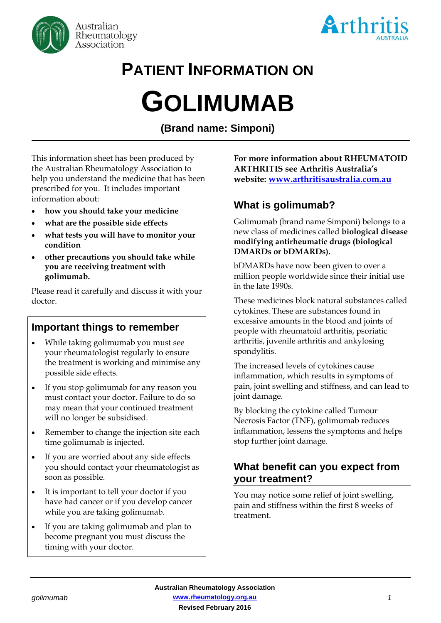



# **PATIENT INFORMATION ON GOLIMUMAB**

**(Brand name: Simponi)**

This information sheet has been produced by the Australian Rheumatology Association to help you understand the medicine that has been prescribed for you. It includes important information about:

- **how you should take your medicine**
- **what are the possible side effects**
- **what tests you will have to monitor your condition**
- **other precautions you should take while you are receiving treatment with golimumab.**

Please read it carefully and discuss it with your doctor.

## **Important things to remember**

- While taking golimumab you must see your rheumatologist regularly to ensure the treatment is working and minimise any possible side effects.
- If you stop golimumab for any reason you must contact your doctor. Failure to do so may mean that your continued treatment will no longer be subsidised.
- Remember to change the injection site each time golimumab is injected.
- If you are worried about any side effects you should contact your rheumatologist as soon as possible.
- It is important to tell your doctor if you have had cancer or if you develop cancer while you are taking golimumab.
- If you are taking golimumab and plan to become pregnant you must discuss the timing with your doctor.

**For more information about RHEUMATOID ARTHRITIS see Arthritis Australia's website: [www.arthritisaustralia.com.au](http://www.arthritisaustralia.com.au/)**

## **What is golimumab?**

Golimumab (brand name Simponi) belongs to a new class of medicines called **biological disease modifying antirheumatic drugs (biological DMARDs or bDMARDs).** 

bDMARDs have now been given to over a million people worldwide since their initial use in the late 1990s.

These medicines block natural substances called cytokines. These are substances found in excessive amounts in the blood and joints of people with rheumatoid arthritis, psoriatic arthritis, juvenile arthritis and ankylosing spondylitis.

The increased levels of cytokines cause inflammation, which results in symptoms of pain, joint swelling and stiffness, and can lead to joint damage.

By blocking the cytokine called Tumour Necrosis Factor (TNF), golimumab reduces inflammation, lessens the symptoms and helps stop further joint damage.

## **What benefit can you expect from your treatment?**

You may notice some relief of joint swelling, pain and stiffness within the first 8 weeks of treatment.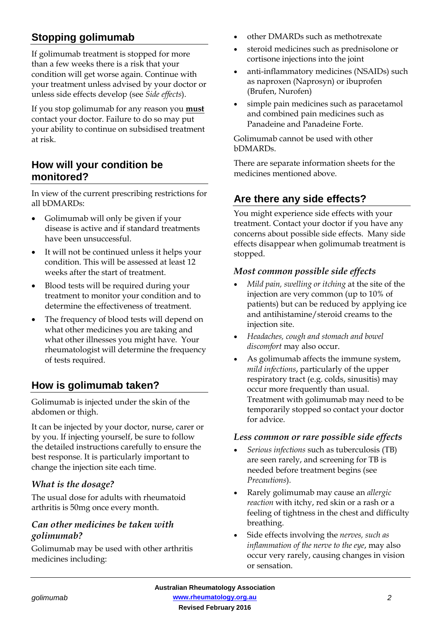# **Stopping golimumab**

If golimumab treatment is stopped for more than a few weeks there is a risk that your condition will get worse again. Continue with your treatment unless advised by your doctor or unless side effects develop (see *Side effects*).

If you stop golimumab for any reason you **must** contact your doctor. Failure to do so may put your ability to continue on subsidised treatment at risk.

## **How will your condition be monitored?**

In view of the current prescribing restrictions for all bDMARDs:

- Golimumab will only be given if your disease is active and if standard treatments have been unsuccessful.
- It will not be continued unless it helps your condition. This will be assessed at least 12 weeks after the start of treatment.
- Blood tests will be required during your treatment to monitor your condition and to determine the effectiveness of treatment.
- The frequency of blood tests will depend on what other medicines you are taking and what other illnesses you might have. Your rheumatologist will determine the frequency of tests required.

## **How is golimumab taken?**

Golimumab is injected under the skin of the abdomen or thigh.

It can be injected by your doctor, nurse, carer or by you. If injecting yourself, be sure to follow the detailed instructions carefully to ensure the best response. It is particularly important to change the injection site each time.

### *What is the dosage?*

The usual dose for adults with rheumatoid arthritis is 50mg once every month.

#### *Can other medicines be taken with golimumab?*

Golimumab may be used with other arthritis medicines including:

- other DMARDs such as methotrexate
- steroid medicines such as prednisolone or cortisone injections into the joint
- anti-inflammatory medicines (NSAIDs) such as naproxen (Naprosyn) or ibuprofen (Brufen, Nurofen)
- simple pain medicines such as paracetamol and combined pain medicines such as Panadeine and Panadeine Forte.

Golimumab cannot be used with other bDMARDs.

There are separate information sheets for the medicines mentioned above.

## **Are there any side effects?**

You might experience side effects with your treatment. Contact your doctor if you have any concerns about possible side effects. Many side effects disappear when golimumab treatment is stopped.

#### *Most common possible side effects*

- *Mild pain, swelling or itching* at the site of the injection are very common (up to 10% of patients) but can be reduced by applying ice and antihistamine/steroid creams to the injection site.
- *Headaches, cough and stomach and bowel discomfort* may also occur.
- As golimumab affects the immune system, *mild infections*, particularly of the upper respiratory tract (e.g. colds, sinusitis) may occur more frequently than usual. Treatment with golimumab may need to be temporarily stopped so contact your doctor for advice.

#### *Less common or rare possible side effects*

- *Serious infections* such as tuberculosis (TB) are seen rarely, and screening for TB is needed before treatment begins (see *Precautions*).
- Rarely golimumab may cause an *allergic reaction* with itchy, red skin or a rash or a feeling of tightness in the chest and difficulty breathing.
- Side effects involving the *nerves, such as inflammation of the nerve to the eye*, may also occur very rarely, causing changes in vision or sensation.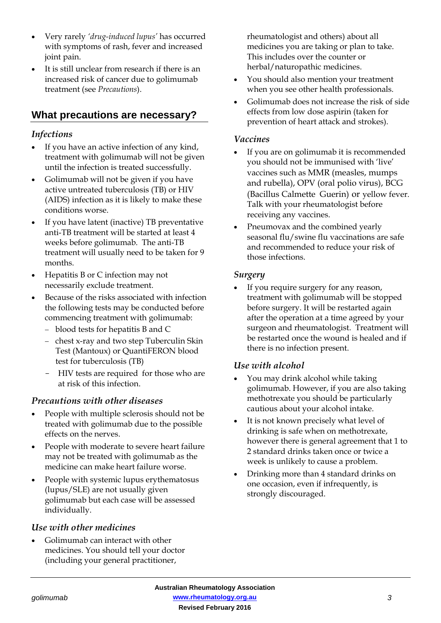- Very rarely *'drug-induced lupus'* has occurred with symptoms of rash, fever and increased joint pain.
- It is still unclear from research if there is an increased risk of cancer due to golimumab treatment (see *Precautions*).

## **What precautions are necessary?**

#### *Infections*

- If you have an active infection of any kind, treatment with golimumab will not be given until the infection is treated successfully.
- Golimumab will not be given if you have active untreated tuberculosis (TB) or HIV (AIDS) infection as it is likely to make these conditions worse.
- If you have latent (inactive) TB preventative anti-TB treatment will be started at least 4 weeks before golimumab. The anti-TB treatment will usually need to be taken for 9 months.
- Hepatitis B or C infection may not necessarily exclude treatment.
- Because of the risks associated with infection the following tests may be conducted before commencing treatment with golimumab:
	- blood tests for hepatitis B and C
	- chest x-ray and two step Tuberculin Skin Test (Mantoux) or QuantiFERON blood test for tuberculosis (TB)
	- HIV tests are required for those who are at risk of this infection.

#### *Precautions with other diseases*

- People with multiple sclerosis should not be treated with golimumab due to the possible effects on the nerves.
- People with moderate to severe heart failure may not be treated with golimumab as the medicine can make heart failure worse.
- People with systemic lupus erythematosus (lupus/SLE) are not usually given golimumab but each case will be assessed individually.

#### *Use with other medicines*

• Golimumab can interact with other medicines. You should tell your doctor (including your general practitioner,

rheumatologist and others) about all medicines you are taking or plan to take. This includes over the counter or herbal/naturopathic medicines.

- You should also mention your treatment when you see other health professionals.
- Golimumab does not increase the risk of side effects from low dose aspirin (taken for prevention of heart attack and strokes).

#### *Vaccines*

- If you are on golimumab it is recommended you should not be immunised with 'live' vaccines such as MMR (measles, mumps and rubella), OPV (oral polio virus), BCG (Bacillus Calmette Guerin) or yellow fever. Talk with your rheumatologist before receiving any vaccines.
- Pneumovax and the combined yearly seasonal flu/swine flu vaccinations are safe and recommended to reduce your risk of those infections.

#### *Surgery*

If you require surgery for any reason, treatment with golimumab will be stopped before surgery. It will be restarted again after the operation at a time agreed by your surgeon and rheumatologist. Treatment will be restarted once the wound is healed and if there is no infection present.

#### *Use with alcohol*

- You may drink alcohol while taking golimumab. However, if you are also taking methotrexate you should be particularly cautious about your alcohol intake.
- It is not known precisely what level of drinking is safe when on methotrexate, however there is general agreement that 1 to 2 standard drinks taken once or twice a week is unlikely to cause a problem.
- Drinking more than 4 standard drinks on one occasion, even if infrequently, is strongly discouraged.